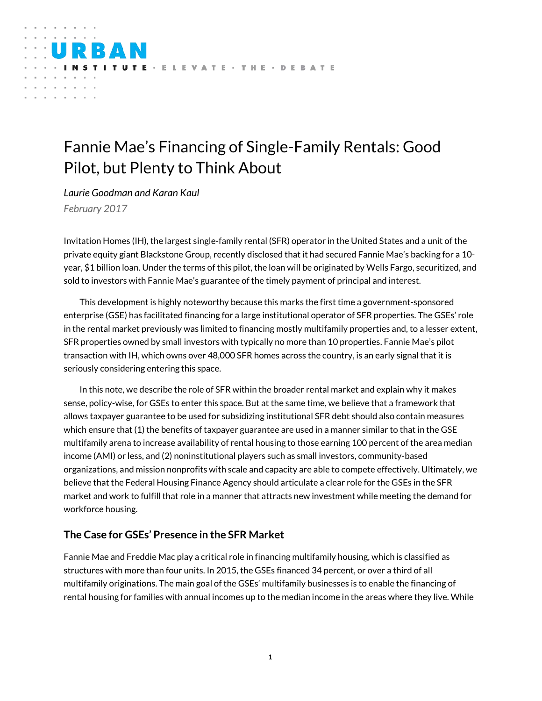# Fannie Mae's Financing of Single-Family Rentals: Good Pilot, but Plenty to Think About

TUTE · ELEVATE · THE · DEBATE

*Laurie Goodman and Karan Kaul February 2017*

R A I

Invitation Homes (IH), the largest single-family rental (SFR) operator in the United States and a unit of the private equity giant Blackstone Group, recently disclosed that it had secured Fannie Mae's backing for a 10 year, \$1 billion loan. Under the terms of this pilot, the loan will be originated by Wells Fargo, securitized, and sold to investors with Fannie Mae's guarantee of the timely payment of principal and interest.

This development is highly noteworthy because this marks the first time a government-sponsored enterprise (GSE) has facilitated financing for a large institutional operator of SFR properties. The GSEs' role in the rental market previously was limited to financing mostly multifamily properties and, to a lesser extent, SFR properties owned by small investors with typically no more than 10 properties. Fannie Mae's pilot transaction with IH, which owns over 48,000 SFR homes across the country, is an early signal that it is seriously considering entering this space.

In this note, we describe the role of SFR within the broader rental market and explain why it makes sense, policy-wise, for GSEs to enter this space. But at the same time, we believe that a framework that allows taxpayer guarantee to be used for subsidizing institutional SFR debt should also contain measures which ensure that (1) the benefits of taxpayer guarantee are used in a manner similar to that in the GSE multifamily arena to increase availability of rental housing to those earning 100 percent of the area median income (AMI) or less, and (2) noninstitutional players such as small investors, community-based organizations, and mission nonprofits with scale and capacity are able to compete effectively. Ultimately, we believe that the Federal Housing Finance Agency should articulate a clear role for the GSEs in the SFR market and work to fulfill that role in a manner that attracts new investment while meeting the demand for workforce housing.

# **The Case for GSEs' Presence in the SFR Market**

Fannie Mae and Freddie Mac play a critical role in financing multifamily housing, which is classified as structures with more than four units. In 2015, the GSEs financed 34 percent, or over a third of all multifamily originations. The main goal of the GSEs' multifamily businesses is to enable the financing of rental housing for families with annual incomes up to the median income in the areas where they live. While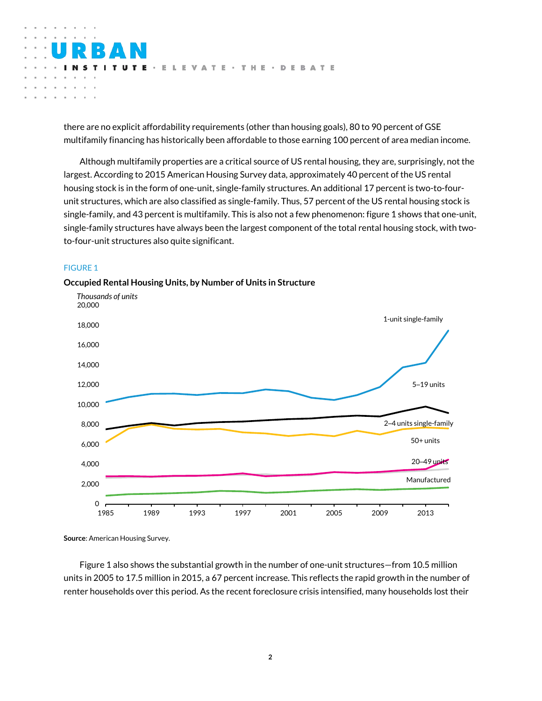there are no explicit affordability requirements (other than housing goals), 80 [to 90 percent of GSE](http://www.urban.org/sites/default/files/alfresco/publication-pdfs/2000174-The-GSEs-Shrinking-Role-in-the-Multifamily-Market.pdf)  [multifamily financing has historically been affordable to those earning 100 percent of area median income.](http://www.urban.org/sites/default/files/alfresco/publication-pdfs/2000174-The-GSEs-Shrinking-Role-in-the-Multifamily-Market.pdf)

· THE · DEBATE

Although multifamily properties are a critical source of US rental housing, they are, surprisingly, not the largest. According to 2015 American Housing Survey data, approximately 40 percent of the US rental housing stock is in the form of one-unit, single-family structures. An additional 17 percent is two-to-fourunit structures, which are also classified as single-family. Thus, 57 percent of the US rental housing stock is single-family, and 43 percent is multifamily. This is also not a few phenomenon: figure 1 shows that one-unit, single-family structures have always been the largest component of the total rental housing stock, with twoto-four-unit structures also quite significant.

#### FIGURE 1



ELEVATE



**Source**: American Housing Survey.

Figure 1 also shows the substantial growth in the number of one-unit structures—from 10.5 million units in 2005 to 17.5 million in 2015, a 67 percent increase. This reflects the rapid growth in the number of renter households over this period. As the recent foreclosure crisis intensified, many households lost their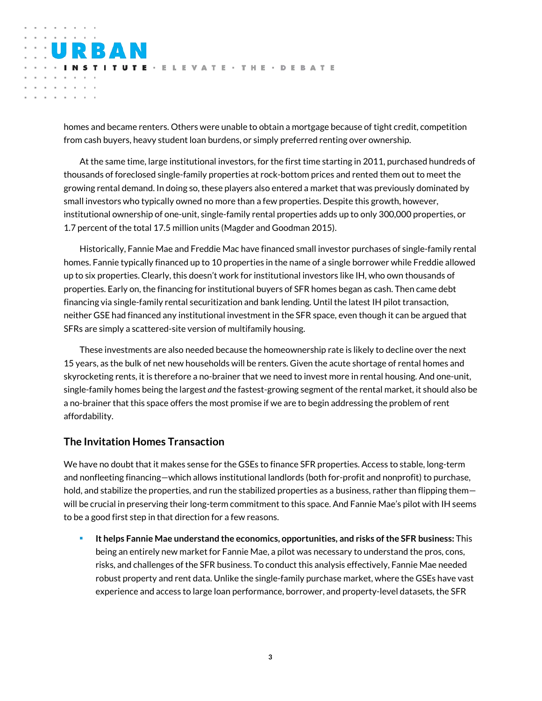TUTE · ELEVATE · THE · DEBATE

BAN

homes and became renters. Others were unable to obtain a mortgage because of tight credit, competition from cash buyers, heavy student loan burdens, or simply preferred renting over ownership.

At the same time, large institutional investors, for the first time starting in 2011, purchased hundreds of thousands of foreclosed single-family properties at rock-bottom prices and rented them out to meet the growing rental demand. In doing so, these players also entered a market that was previously dominated by small investors who typically owned no more than a few properties. Despite this growth, however, institutional ownership of one-unit, single-family rental properties adds up to only 300,000 properties, or 1.7 percent of the total 17.5 million units (Magder and Goodman 2015).

Historically, Fannie Mae and Freddie Mac have financed small investor purchases of single-family rental homes. Fannie typically financed up to 10 properties in the name of a single borrower while Freddie allowed up to six properties. Clearly, this doesn't work for institutional investors like IH, who own thousands of properties. Early on, the financing for institutional buyers of SFR homes began as cash. Then came debt financing via single-family rental securitization and bank lending. Until the latest IH pilot transaction, neither GSE had financed any institutional investment in the SFR space, even though it can be argued that SFRs are simply a scattered-site version of multifamily housing.

These investments are also needed because the homeownership rate is likely to decline over the next 15 years, as the bulk of net new households will be renters. Given the acute shortage of rental homes and skyrocketing rents, it is therefore a no-brainer that we need to invest more in rental housing. And one-unit, single-family homes being the largest *and* the fastest-growing segment of the rental market, it should also be a no-brainer that this space offers the most promise if we are to begin addressing the problem of rent affordability.

### **The Invitation Homes Transaction**

We have no doubt that it makes sense for the GSEs to finance SFR properties. Access to stable, long-term and nonfleeting financing—which allows institutional landlords (both for-profit and nonprofit) to purchase, hold, and stabilize the properties, and run the stabilized properties as a business, rather than flipping themwill be crucial in preserving their long-term commitment to this space. And Fannie Mae's pilot with IH seems to be a good first step in that direction for a few reasons.

 **It helps Fannie Mae understand the economics, opportunities, and risks of the SFR business:** This being an entirely new market for Fannie Mae, a pilot was necessary to understand the pros, cons, risks, and challenges of the SFR business. To conduct this analysis effectively, Fannie Mae needed robust property and rent data. Unlike the single-family purchase market, where the GSEs have vast experience and access to large loan performance, borrower, and property-level datasets, the SFR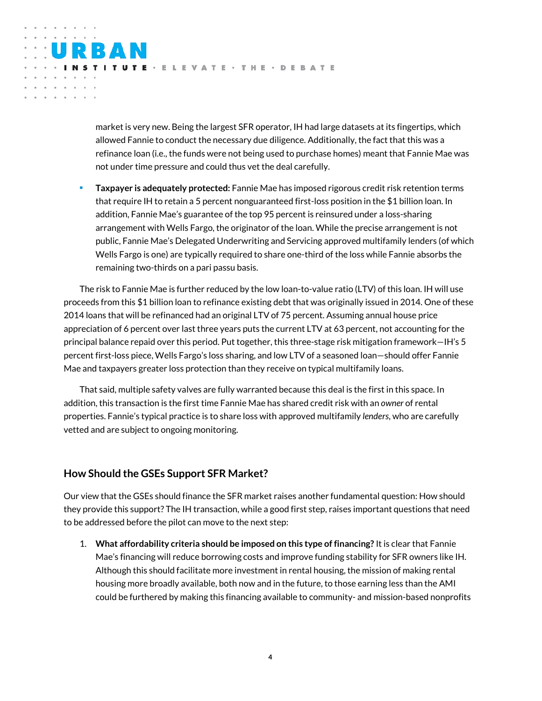market is very new. Being the largest SFR operator, IH had large datasets at its fingertips, which allowed Fannie to conduct the necessary due diligence. Additionally, the fact that this was a refinance loan (i.e., the funds were not being used to purchase homes) meant that Fannie Mae was not under time pressure and could thus vet the deal carefully.

TUTE · ELEVATE · THE · DEBATE

 **Taxpayer is adequately protected:** Fannie Mae has imposed rigorous credit risk retention terms that require IH to retain a 5 percent nonguaranteed first-loss position in the \$1 billion loan. In addition, Fannie Mae's guarantee of the top 95 percent is reinsured under a loss-sharing arrangement with Wells Fargo, the originator of the loan. While the precise arrangement is not public, Fannie Mae's Delegated Underwriting and Servicing approved multifamily lenders (of which Wells Fargo is one) are typically required to share one-third of the loss while Fannie absorbs the remaining two-thirds on a pari passu basis.

The risk to Fannie Mae is further reduced by the low loan-to-value ratio (LTV) of this loan. IH will use proceeds from this \$1 billion loan to refinance existing debt that was originally issued in 2014. One of these 2014 loans that will be refinanced had an original LTV of 75 percent. Assuming annual house price appreciation of 6 percent over last three years puts the current LTV at 63 percent, not accounting for the principal balance repaid over this period. Put together, this three-stage risk mitigation framework—IH's 5 percent first-loss piece, Wells Fargo's loss sharing, and low LTV of a seasoned loan—should offer Fannie Mae and taxpayers greater loss protection than they receive on typical multifamily loans.

That said, multiple safety valves are fully warranted because this deal is the first in this space. In addition, this transaction is the first time Fannie Mae has shared credit risk with an *owner* of rental properties. Fannie's typical practice is to share loss with approved multifamily *lenders*, who are carefully vetted and are subject to ongoing monitoring.

# **How Should the GSEs Support SFR Market?**

**BAI** 

Our view that the GSEs should finance the SFR market raises another fundamental question: How should they provide this support? The IH transaction, while a good first step, raises important questions that need to be addressed before the pilot can move to the next step:

1. **What affordability criteria should be imposed on this type of financing?** It is clear that Fannie Mae's financing will reduce borrowing costs and improve funding stability for SFR owners like IH. Although this should facilitate more investment in rental housing, the mission of making rental housing more broadly available, both now and in the future, to those earning less than the AMI could be furthered by making this financing available to community- and mission-based nonprofits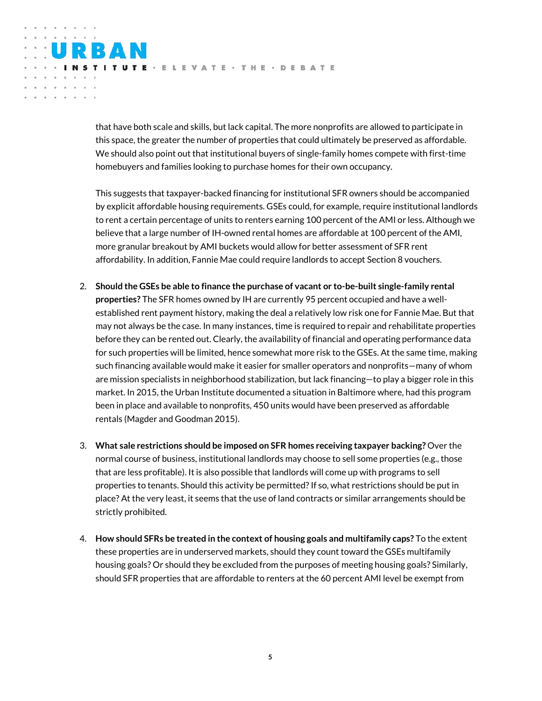TUTE · ELEVATE · THE · DEBATE

RAI

that have both scale and skills, but lack capital. The more nonprofits are allowed to participate in this space, the greater the number of properties that could ultimately be preserved as affordable. We should also point out that institutional buyers of single-family homes compete with first-time homebuyers and families looking to purchase homes for their own occupancy.

This suggests that taxpayer-backed financing for institutional SFR owners should be accompanied by explicit affordable housing requirements. GSEs could, for example, require institutional landlords to rent a certain percentage of units to renters earning 100 percent of the AMI or less. Although we believe that a large number of IH-owned rental homes are affordable at 100 percent of the AMI, more granular breakout by AMI buckets would allow for better assessment of SFR rent affordability. In addition, Fannie Mae could require landlords to accept Section 8 vouchers.

- 2. **Should the GSEs be able to finance the purchase of vacant or to-be-built single-family rental properties?** The SFR homes owned by IH are currently 95 percent occupied and have a wellestablished rent payment history, making the deal a relatively low risk one for Fannie Mae. But that may not always be the case. In many instances, time is required to repair and rehabilitate properties before they can be rented out. Clearly, the availability of financial and operating performance data for such properties will be limited, hence somewhat more risk to the GSEs. At the same time, making such financing available would make it easier for smaller operators and nonprofits—many of whom are mission specialists in neighborhood stabilization, but lack financing—to play a bigger role in this market. In 2015, the Urban Institute [documented](http://www.urban.org/sites/default/files/alfresco/publication-pdfs/2000423-Single-Family-Rentals-A-New-Approach-to-Affordable-Housing.pdf) a situation in Baltimore where, had this program been in place and available to nonprofits, 450 units would have been preserved as affordable rentals (Magder and Goodman 2015).
- 3. **What sale restrictions should be imposed on SFR homes receiving taxpayer backing?** Over the normal course of business, institutional landlords may choose to sell some properties (e.g., those that are less profitable). It is also possible that landlords will come up with programs to sell properties to tenants. Should this activity be permitted? If so, what restrictions should be put in place? At the very least, it seems that the use of land contracts or similar arrangements should be strictly prohibited.
- 4. **How should SFRs be treated in the context of housing goals and multifamily caps?** To the extent these properties are in underserved markets, should they count toward the GSEs multifamily housing goals? Or should they be excluded from the purposes of meeting housing goals? Similarly, should SFR properties that are affordable to renters at the 60 percent AMI level be exempt from